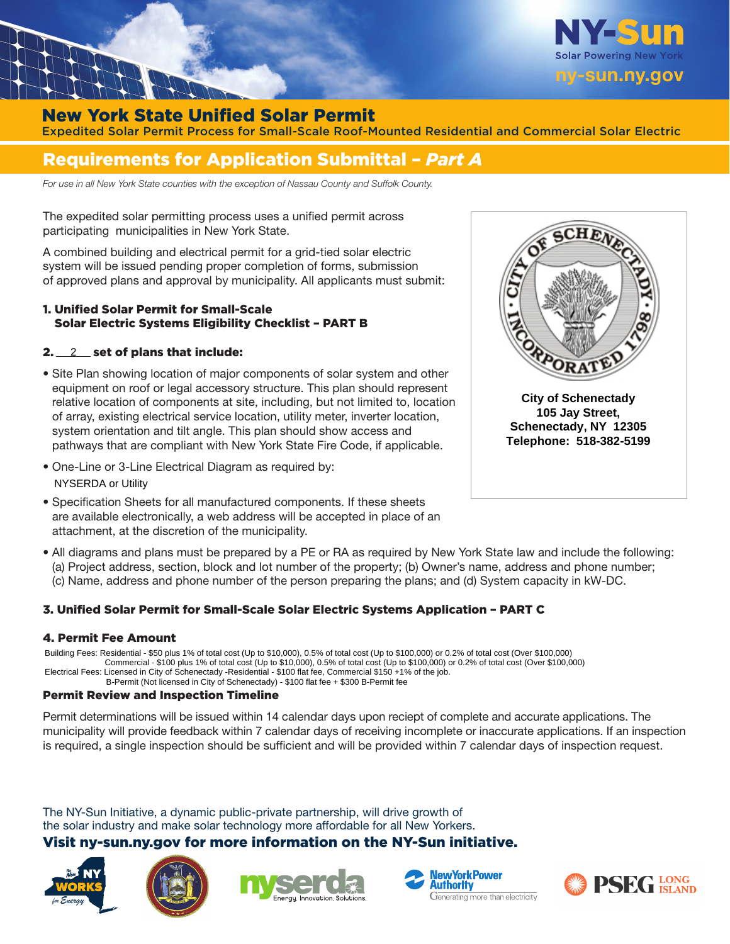

## New York State Unified Solar Permit

Expedited Solar Permit Process for Small-Scale Roof-Mounted Residential and Commercial Solar Electric

# Requirements for Application Submittal – *Part A*

*For use in all New York State counties with the exception of Nassau County and Suffolk County.*

The expedited solar permitting process uses a unified permit across participating municipalities in New York State.

A combined building and electrical permit for a grid‐tied solar electric system will be issued pending proper completion of forms, submission of approved plans and approval by municipality. All applicants must submit:

### 1. Unified Solar Permit for Small-Scale Solar Electric Systems Eligibility Checklist – PART B

### 2.  $\_\,\_2\_\,\_$  set of plans that include:

- Site Plan showing location of major components of solar system and other equipment on roof or legal accessory structure. This plan should represent relative location of components at site, including, but not limited to, location of array, existing electrical service location, utility meter, inverter location, system orientation and tilt angle. This plan should show access and pathways that are compliant with New York State Fire Code, if applicable.
- One-Line or 3-Line Electrical Diagram as required by: NYSERDA or Utility
- Specification Sheets for all manufactured components. If these sheets are available electronically, a web address will be accepted in place of an attachment, at the discretion of the municipality.



**City of Schenectady 105 Jay Street, Schenectady, NY 12305 Telephone: 518-382-5199** 

• All diagrams and plans must be prepared by a PE or RA as required by New York State law and include the following: (a) Project address, section, block and lot number of the property; (b) Owner's name, address and phone number; (c) Name, address and phone number of the person preparing the plans; and (d) System capacity in kW‐DC.

#### 3. Unified Solar Permit for Small-Scale Solar Electric Systems Application – PART C

#### 4. Permit Fee Amount

Building Fees: Residential - \$50 plus 1% of total cost (Up to \$10,000), 0.5% of total cost (Up to \$100,000) or 0.2% of total cost (Over \$100,000) Commercial - \$100 plus 1% of total cost (Up to \$10,000), 0.5% of total cost (Up to \$100,000) or 0.2% of total cost (Over \$100,000) Electrical Fees: Licensed in City of Schenectady -Residential - \$100 flat fee, Commercial \$150 +1% of the job. B-Permit (Not licensed in City of Schenectady) - \$100 flat fee + \$300 B-Permit fee

#### Permit Review and Inspection Timeline

Permit determinations will be issued within 14 calendar days upon reciept of complete and accurate applications. The municipality will provide feedback within 7 calendar days of receiving incomplete or inaccurate applications. If an inspection is required, a single inspection should be sufficient and will be provided within 7 calendar days of inspection request.

The NY-Sun Initiative, a dynamic public-private partnership, will drive growth of the solar industry and make solar technology more affordable for all New Yorkers.

### Visit ny-sun.ny. gov for more information on the NY-Sun initiative.









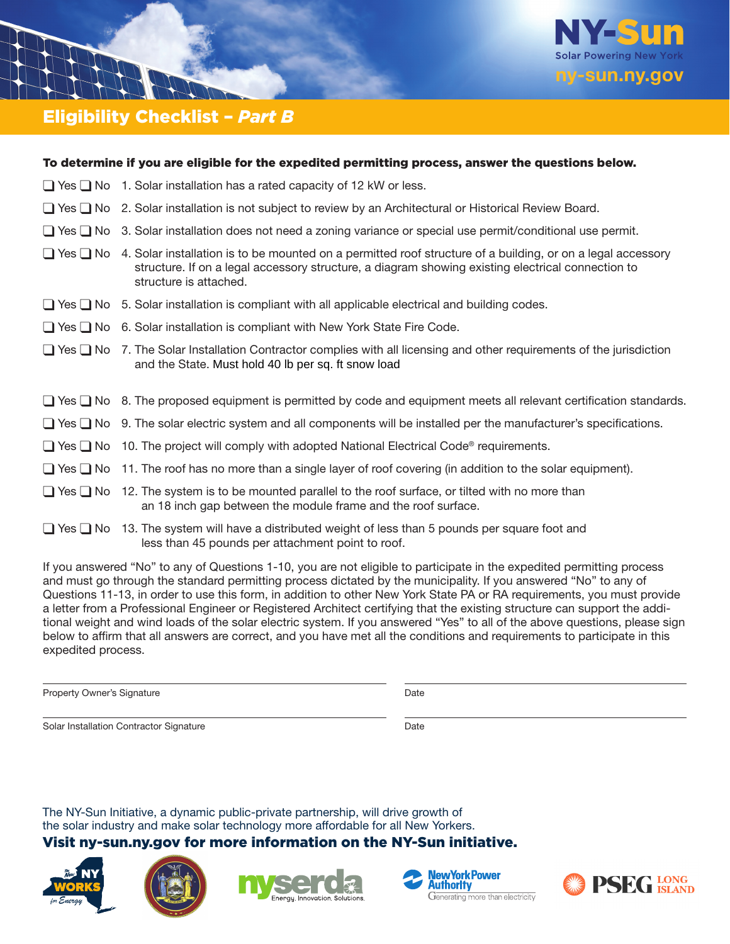

# Eligibility Checklist – *Part B*

| To determine if you are eligible for the expedited permitting process, answer the questions below.                                                                                                                                                              |
|-----------------------------------------------------------------------------------------------------------------------------------------------------------------------------------------------------------------------------------------------------------------|
| $\Box$ Yes $\Box$ No 1. Solar installation has a rated capacity of 12 kW or less.                                                                                                                                                                               |
| □ Yes □ No 2. Solar installation is not subject to review by an Architectural or Historical Review Board.                                                                                                                                                       |
| $\Box$ Yes $\Box$ No 3. Solar installation does not need a zoning variance or special use permit/conditional use permit.                                                                                                                                        |
| $\Box$ Yes $\Box$ No 4. Solar installation is to be mounted on a permitted roof structure of a building, or on a legal accessory<br>structure. If on a legal accessory structure, a diagram showing existing electrical connection to<br>structure is attached. |
| $\Box$ Yes $\Box$ No 5. Solar installation is compliant with all applicable electrical and building codes.                                                                                                                                                      |
| $\Box$ Yes $\Box$ No 6. Solar installation is compliant with New York State Fire Code.                                                                                                                                                                          |
| $\Box$ Yes $\Box$ No 7. The Solar Installation Contractor complies with all licensing and other requirements of the jurisdiction<br>and the State. Must hold 40 lb per sq. ft snow load                                                                         |
| □ Yes □ No 8. The proposed equipment is permitted by code and equipment meets all relevant certification standards.                                                                                                                                             |
| $\Box$ Yes $\Box$ No 9. The solar electric system and all components will be installed per the manufacturer's specifications.                                                                                                                                   |
| $\Box$ Yes $\Box$ No 10. The project will comply with adopted National Electrical Code® requirements.                                                                                                                                                           |
| $\Box$ Yes $\Box$ No 11. The roof has no more than a single layer of roof covering (in addition to the solar equipment).                                                                                                                                        |
| $\Box$ Yes $\Box$ No 12. The system is to be mounted parallel to the roof surface, or tilted with no more than<br>an 18 inch gap between the module frame and the roof surface.                                                                                 |
| $\Box$ Yes $\Box$ No 13. The system will have a distributed weight of less than 5 pounds per square foot and<br>less than 45 pounds per attachment point to roof.                                                                                               |
|                                                                                                                                                                                                                                                                 |

If you answered "No" to any of Questions 1‐10, you are not eligible to participate in the expedited permitting process and must go through the standard permitting process dictated by the municipality. If you answered "No" to any of Questions 11‐13, in order to use this form, in addition to other New York State PA or RA requirements, you must provide a letter from a Professional Engineer or Registered Architect certifying that the existing structure can support the additional weight and wind loads of the solar electric system. If you answered "Yes" to all of the above questions, please sign below to affirm that all answers are correct, and you have met all the conditions and requirements to participate in this expedited process.

Property Owner's Signature Date Date

Solar Installation Contractor Signature **Date** Date

The NY-Sun Initiative, a dynamic public-private partnership, will drive growth of the solar industry and make solar technology more affordable for all New Yorkers.

### Visit ny-sun.ny. gov for more information on the NY-Sun initiative.









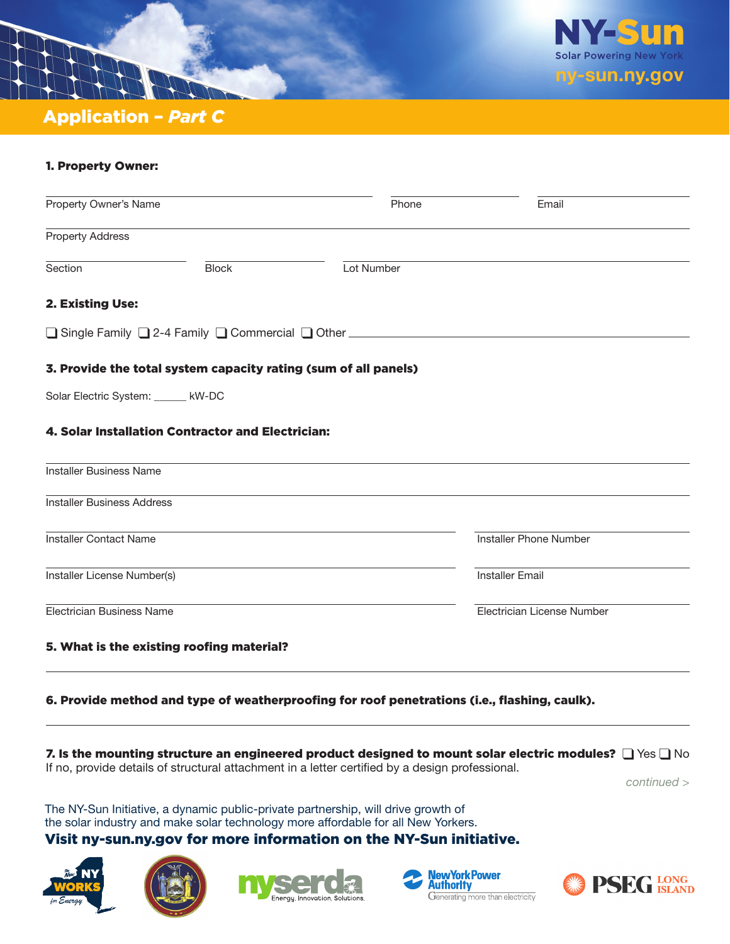



# 1. Property Owner:

| Property Owner's Name              |                                                   | Phone                                                                           | Email                      |
|------------------------------------|---------------------------------------------------|---------------------------------------------------------------------------------|----------------------------|
| <b>Property Address</b>            |                                                   |                                                                                 |                            |
| Section                            | <b>Block</b>                                      | Lot Number                                                                      |                            |
| 2. Existing Use:                   |                                                   |                                                                                 |                            |
|                                    |                                                   | □ Single Family □ 2-4 Family □ Commercial □ Other _____________________________ |                            |
|                                    |                                                   | 3. Provide the total system capacity rating (sum of all panels)                 |                            |
| Solar Electric System: _____ kW-DC |                                                   |                                                                                 |                            |
|                                    | 4. Solar Installation Contractor and Electrician: |                                                                                 |                            |
| Installer Business Name            |                                                   |                                                                                 |                            |
| <b>Installer Business Address</b>  |                                                   |                                                                                 |                            |
| <b>Installer Contact Name</b>      |                                                   |                                                                                 | Installer Phone Number     |
| Installer License Number(s)        |                                                   |                                                                                 | <b>Installer Email</b>     |
| Electrician Business Name          |                                                   |                                                                                 | Electrician License Number |
|                                    | 5. What is the existing roofing material?         |                                                                                 |                            |
|                                    |                                                   |                                                                                 |                            |

### 6. Provide method and type of weatherproofing for roof penetrations (i.e., flashing, caulk).

# 7. Is the mounting structure an engineered product designed to mount solar electric modules?  $\Box$  Yes  $\Box$  No

If no, provide details of structural attachment in a letter certified by a design professional.

 *continued >*

The NY-Sun Initiative, a dynamic public-private partnership, will drive growth of the solar industry and make solar technology more affordable for all New Yorkers.

### Visit ny-sun.ny. gov for more information on the NY-Sun initiative.